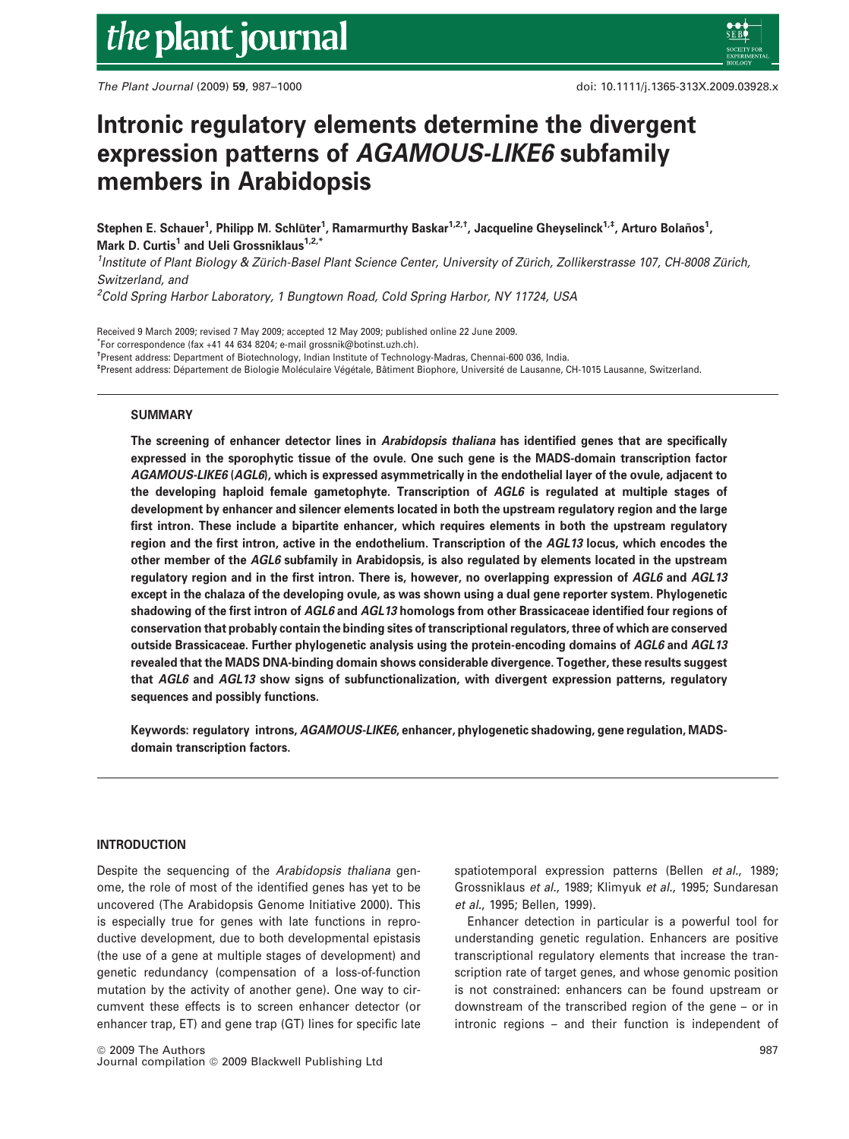# the plant journal

*The Plant Journal* (2009) 59, 987–1000 doi: 10.1111/j.1365-313X.2009.03928.x

# Intronic regulatory elements determine the divergent expression patterns of AGAMOUS-LIKE6 subfamily members in Arabidopsis

Stephen E. Schauer<sup>1</sup>, Philipp M. Schlüter<sup>1</sup>, Ramarmurthy Baskar<sup>1,2,†</sup>, Jacqueline Gheyselinck<sup>1,‡</sup>, Arturo Bolaños<sup>1</sup>, Mark D. Curtis<sup>1</sup> and Ueli Grossniklaus<sup>1,2,\*</sup>

<sup>1</sup> Institute of Plant Biology & Zürich-Basel Plant Science Center, University of Zürich, Zollikerstrasse 107, CH-8008 Zürich, *Switzerland, and*

*<sup>2</sup>Cold Spring Harbor Laboratory, 1 Bungtown Road, Cold Spring Harbor, NY 11724, USA*

Received 9 March 2009; revised 7 May 2009; accepted 12 May 2009; published online 22 June 2009. \* For correspondence (fax +41 44 634 8204; e-mail grossnik@botinst.uzh.ch). †Present address: Department of Biotechnology, Indian Institute of Technology-Madras, Chennai-600 036, India. <sup>‡</sup>Present address: Département de Biologie Moléculaire Végétale, Bâtiment Biophore, Université de Lausanne, CH-1015 Lausanne, Switzerland.

# SUMMARY

The screening of enhancer detector lines in Arabidopsis thaliana has identified genes that are specifically expressed in the sporophytic tissue of the ovule. One such gene is the MADS-domain transcription factor AGAMOUS-LIKE6 (AGL6), which is expressed asymmetrically in the endothelial layer of the ovule, adjacent to the developing haploid female gametophyte. Transcription of AGL6 is regulated at multiple stages of development by enhancer and silencer elements located in both the upstream regulatory region and the large first intron. These include a bipartite enhancer, which requires elements in both the upstream regulatory region and the first intron, active in the endothelium. Transcription of the AGL13 locus, which encodes the other member of the AGL6 subfamily in Arabidopsis, is also regulated by elements located in the upstream regulatory region and in the first intron. There is, however, no overlapping expression of AGL6 and AGL13 except in the chalaza of the developing ovule, as was shown using a dual gene reporter system. Phylogenetic shadowing of the first intron of AGL6 and AGL13 homologs from other Brassicaceae identified four regions of conservation that probably contain the binding sites of transcriptional regulators, three of which are conserved outside Brassicaceae. Further phylogenetic analysis using the protein-encoding domains of AGL6 and AGL13 revealed that the MADS DNA-binding domain shows considerable divergence. Together, these results suggest that AGL6 and AGL13 show signs of subfunctionalization, with divergent expression patterns, regulatory sequences and possibly functions.

Keywords: regulatory introns, AGAMOUS-LIKE6, enhancer, phylogenetic shadowing, gene regulation, MADSdomain transcription factors.

# INTRODUCTION

Despite the sequencing of the *Arabidopsis thaliana* genome, the role of most of the identified genes has yet to be uncovered (The Arabidopsis Genome Initiative 2000). This is especially true for genes with late functions in reproductive development, due to both developmental epistasis (the use of a gene at multiple stages of development) and genetic redundancy (compensation of a loss-of-function mutation by the activity of another gene). One way to circumvent these effects is to screen enhancer detector (or enhancer trap, ET) and gene trap (GT) lines for specific late spatiotemporal expression patterns (Bellen *et al.*, 1989; Grossniklaus *et al.*, 1989; Klimyuk *et al.*, 1995; Sundaresan *et al.*, 1995; Bellen, 1999).

Enhancer detection in particular is a powerful tool for understanding genetic regulation. Enhancers are positive transcriptional regulatory elements that increase the transcription rate of target genes, and whose genomic position is not constrained: enhancers can be found upstream or downstream of the transcribed region of the gene – or in intronic regions – and their function is independent of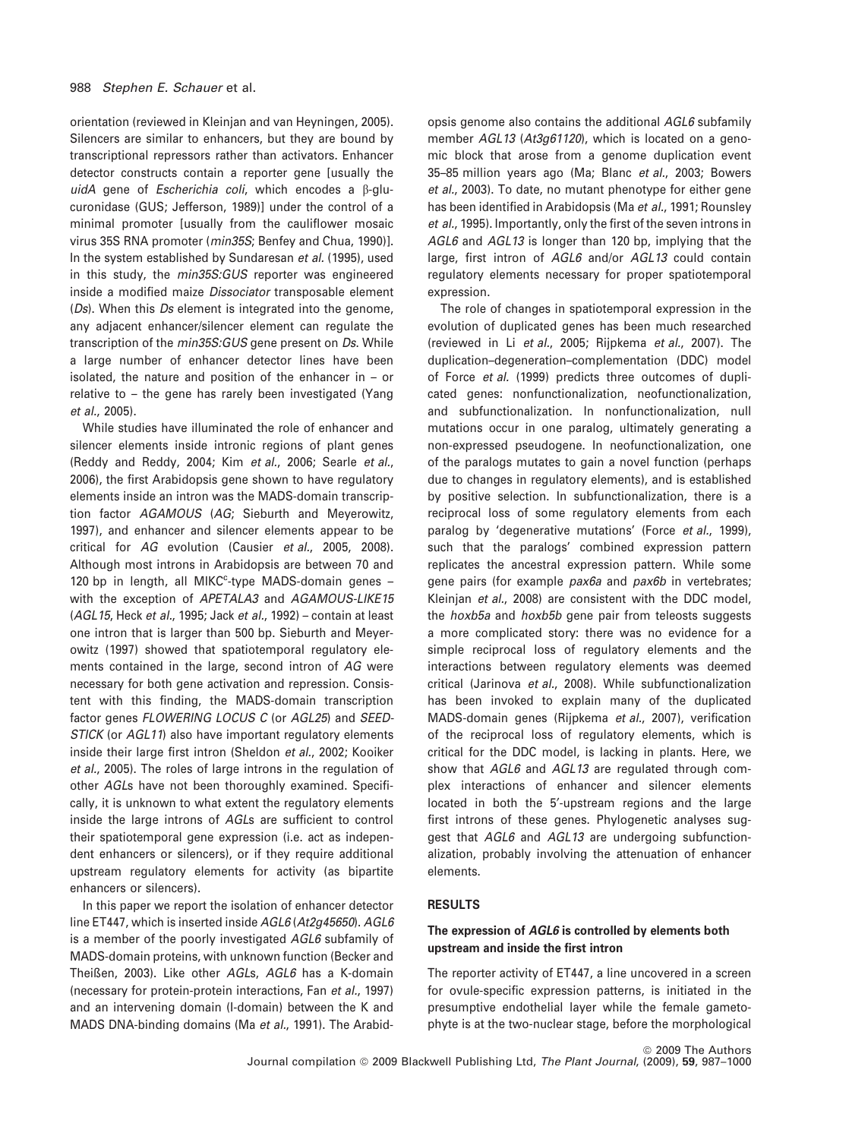orientation (reviewed in Kleinjan and van Heyningen, 2005). Silencers are similar to enhancers, but they are bound by transcriptional repressors rather than activators. Enhancer detector constructs contain a reporter gene [usually the *uidA* gene of *Escherichia coli*, which encodes a b-glucuronidase (GUS; Jefferson, 1989)] under the control of a minimal promoter [usually from the cauliflower mosaic virus 35S RNA promoter (*min35S*; Benfey and Chua, 1990)]. In the system established by Sundaresan *et al.* (1995), used in this study, the *min35S:GUS* reporter was engineered inside a modified maize *Dissociator* transposable element (*Ds*). When this *Ds* element is integrated into the genome, any adjacent enhancer/silencer element can regulate the transcription of the *min35S:GUS* gene present on *Ds*. While a large number of enhancer detector lines have been isolated, the nature and position of the enhancer in – or relative to – the gene has rarely been investigated (Yang *et al.*, 2005).

While studies have illuminated the role of enhancer and silencer elements inside intronic regions of plant genes (Reddy and Reddy, 2004; Kim *et al.*, 2006; Searle *et al.*, 2006), the first Arabidopsis gene shown to have regulatory elements inside an intron was the MADS-domain transcription factor *AGAMOUS* (*AG*; Sieburth and Meyerowitz, 1997), and enhancer and silencer elements appear to be critical for *AG* evolution (Causier *et al.*, 2005, 2008). Although most introns in Arabidopsis are between 70 and 120 bp in length, all MIKC<sup>c</sup>-type MADS-domain genes with the exception of *APETALA3* and *AGAMOUS-LIKE15* (*AGL15*, Heck *et al.*, 1995; Jack *et al.*, 1992) – contain at least one intron that is larger than 500 bp. Sieburth and Meyerowitz (1997) showed that spatiotemporal regulatory elements contained in the large, second intron of *AG* were necessary for both gene activation and repression. Consistent with this finding, the MADS-domain transcription factor genes *FLOWERING LOCUS C* (or *AGL25*) and *SEED-STICK* (or *AGL11*) also have important regulatory elements inside their large first intron (Sheldon *et al.*, 2002; Kooiker *et al.*, 2005). The roles of large introns in the regulation of other *AGL*s have not been thoroughly examined. Specifically, it is unknown to what extent the regulatory elements inside the large introns of *AGL*s are sufficient to control their spatiotemporal gene expression (i.e. act as independent enhancers or silencers), or if they require additional upstream regulatory elements for activity (as bipartite enhancers or silencers).

In this paper we report the isolation of enhancer detector line ET447, which is inserted inside *AGL6* (*At2g45650*). *AGL6* is a member of the poorly investigated *AGL6* subfamily of MADS-domain proteins, with unknown function (Becker and Theißen, 2003). Like other *AGL*s, *AGL6* has a K-domain (necessary for protein-protein interactions, Fan *et al.*, 1997) and an intervening domain (I-domain) between the K and MADS DNA-binding domains (Ma *et al.*, 1991). The Arabidopsis genome also contains the additional *AGL6* subfamily member *AGL13* (*At3g61120*), which is located on a genomic block that arose from a genome duplication event 35–85 million years ago (Ma; Blanc *et al.*, 2003; Bowers et al., 2003). To date, no mutant phenotype for either gene has been identified in Arabidopsis (Ma *et al.*, 1991; Rounsley *et al.*, 1995). Importantly, only the first of the seven introns in *AGL6* and *AGL13* is longer than 120 bp, implying that the large, first intron of *AGL6* and/or *AGL13* could contain regulatory elements necessary for proper spatiotemporal expression.

The role of changes in spatiotemporal expression in the evolution of duplicated genes has been much researched (reviewed in Li *et al.*, 2005; Rijpkema *et al.*, 2007). The duplication–degeneration–complementation (DDC) model of Force *et al.* (1999) predicts three outcomes of duplicated genes: nonfunctionalization, neofunctionalization, and subfunctionalization. In nonfunctionalization, null mutations occur in one paralog, ultimately generating a non-expressed pseudogene. In neofunctionalization, one of the paralogs mutates to gain a novel function (perhaps due to changes in regulatory elements), and is established by positive selection. In subfunctionalization, there is a reciprocal loss of some regulatory elements from each paralog by 'degenerative mutations' (Force *et al.*, 1999), such that the paralogs' combined expression pattern replicates the ancestral expression pattern. While some gene pairs (for example *pax6a* and *pax6b* in vertebrates; Kleinjan *et al.*, 2008) are consistent with the DDC model, the *hoxb5a* and *hoxb5b* gene pair from teleosts suggests a more complicated story: there was no evidence for a simple reciprocal loss of regulatory elements and the interactions between regulatory elements was deemed critical (Jarinova *et al.*, 2008). While subfunctionalization has been invoked to explain many of the duplicated MADS-domain genes (Rijpkema *et al.*, 2007), verification of the reciprocal loss of regulatory elements, which is critical for the DDC model, is lacking in plants. Here, we show that *AGL6* and *AGL13* are regulated through complex interactions of enhancer and silencer elements located in both the 5'-upstream regions and the large first introns of these genes. Phylogenetic analyses suggest that *AGL6* and *AGL13* are undergoing subfunctionalization, probably involving the attenuation of enhancer elements.

#### RESULTS

# The expression of AGL6 is controlled by elements both upstream and inside the first intron

The reporter activity of ET447, a line uncovered in a screen for ovule-specific expression patterns, is initiated in the presumptive endothelial layer while the female gametophyte is at the two-nuclear stage, before the morphological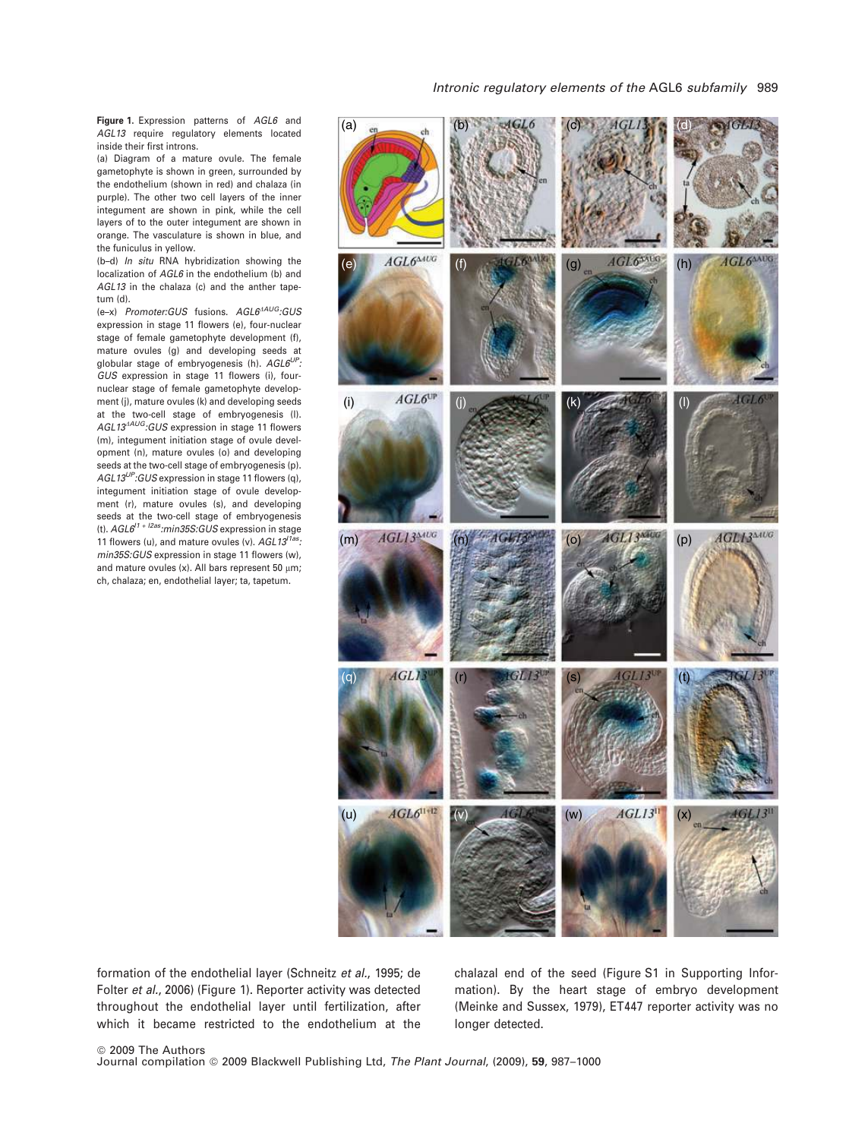Figure 1. Expression patterns of *AGL6* and *AGL13* require regulatory elements located inside their first introns.

(a) Diagram of a mature ovule. The female gametophyte is shown in green, surrounded by the endothelium (shown in red) and chalaza (in purple). The other two cell layers of the inner integument are shown in pink, while the cell layers of to the outer integument are shown in orange. The vasculature is shown in blue, and the funiculus in yellow.

(b–d) *In situ* RNA hybridization showing the localization of *AGL6* in the endothelium (b) and *AGL13* in the chalaza (c) and the anther tapetum (d).

 $(e-x)$  *Promoter:GUS* fusions. AGL6<sup>4AUG</sup>:GUS expression in stage 11 flowers (e), four-nuclear stage of female gametophyte development (f), mature ovules (g) and developing seeds at globular stage of embryogenesis (h). *AGL6UP: GUS* expression in stage 11 flowers (i), fournuclear stage of female gametophyte development (j), mature ovules (k) and developing seeds at the two-cell stage of embryogenesis (l). AGL13<sup>4AUG</sup>:GUS expression in stage 11 flowers (m), integument initiation stage of ovule development (n), mature ovules (o) and developing seeds at the two-cell stage of embryogenesis (p). *AGL13UP:GUS* expression in stage 11 flowers (q), integument initiation stage of ovule development (r), mature ovules (s), and developing seeds at the two-cell stage of embryogenesis (t). *AGL6I1 + I2as:min35S:GUS* expression in stage 11 flowers (u), and mature ovules (v). *AGL13I1as: min35S:GUS* expression in stage 11 flowers (w), and mature ovules (x). All bars represent 50  $\mu$ m; ch, chalaza; en, endothelial layer; ta, tapetum.



formation of the endothelial layer (Schneitz *et al.*, 1995; de Folter *et al.*, 2006) (Figure 1). Reporter activity was detected throughout the endothelial layer until fertilization, after which it became restricted to the endothelium at the

chalazal end of the seed (Figure S1 in Supporting Information). By the heart stage of embryo development (Meinke and Sussex, 1979), ET447 reporter activity was no longer detected.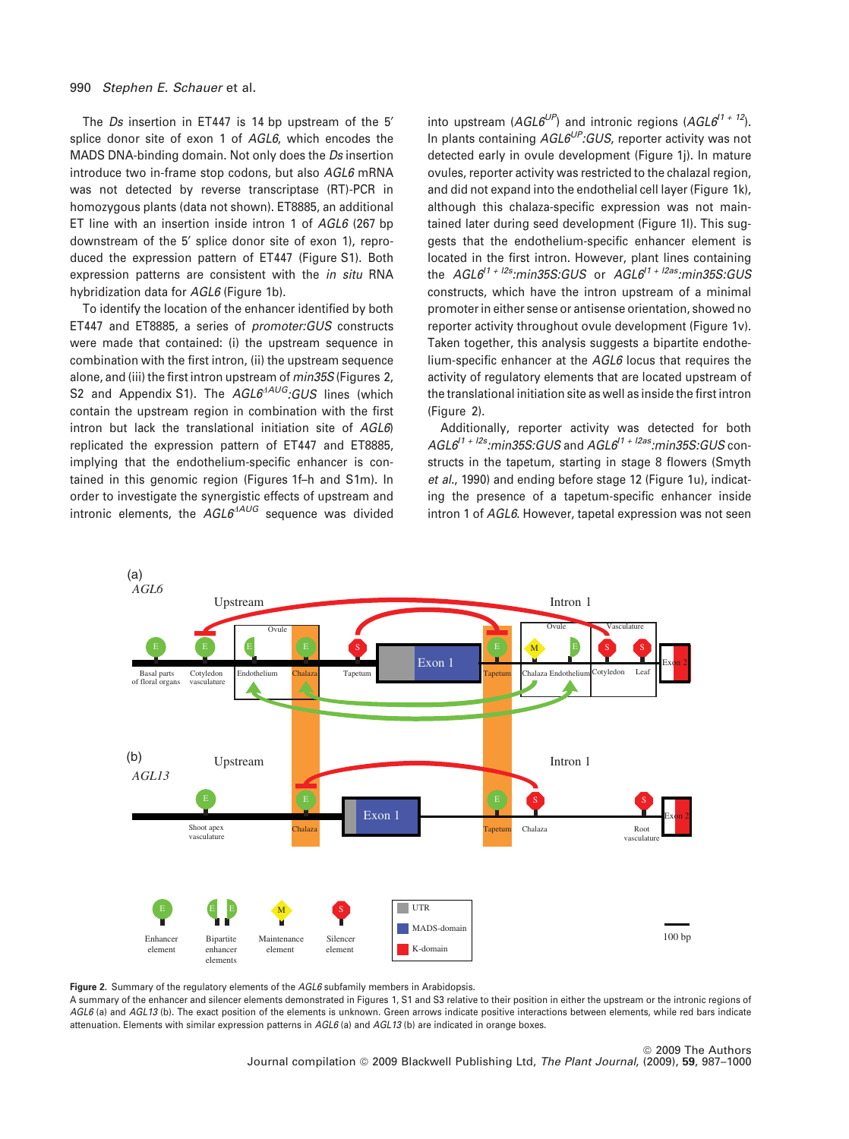The *Ds* insertion in ET447 is 14 bp upstream of the 5' splice donor site of exon 1 of *AGL6*, which encodes the MADS DNA-binding domain. Not only does the *Ds* insertion introduce two in-frame stop codons, but also *AGL6* mRNA was not detected by reverse transcriptase (RT)-PCR in homozygous plants (data not shown). ET8885, an additional ET line with an insertion inside intron 1 of *AGL6* (267 bp downstream of the 5' splice donor site of exon 1), reproduced the expression pattern of ET447 (Figure S1). Both expression patterns are consistent with the *in situ* RNA hybridization data for *AGL6* (Figure 1b).

To identify the location of the enhancer identified by both ET447 and ET8885, a series of *promoter:GUS* constructs were made that contained: (i) the upstream sequence in combination with the first intron, (ii) the upstream sequence alone, and (iii) the first intron upstream of *min35S* (Figures 2, S2 and Appendix S1). The *AGL6<sup>ANG</sup>*:GUS lines (which contain the upstream region in combination with the first intron but lack the translational initiation site of *AGL6*) replicated the expression pattern of ET447 and ET8885, implying that the endothelium-specific enhancer is contained in this genomic region (Figures 1f–h and S1m). In order to investigate the synergistic effects of upstream and intronic elements, the *AGL6<sup>AAUG*</sup> sequence was divided into upstream (*AGL6UP*) and intronic regions (*AGL6I1 + 12*). In plants containing *AGL6UP:GUS*, reporter activity was not detected early in ovule development (Figure 1j). In mature ovules, reporter activity was restricted to the chalazal region, and did not expand into the endothelial cell layer (Figure 1k). although this chalaza-specific expression was not maintained later during seed development (Figure 1l). This suggests that the endothelium-specific enhancer element is located in the first intron. However, plant lines containing the *AGL6I1 + I2s:min35S:GUS* or *AGL6I1 + I2as:min35S:GUS* constructs, which have the intron upstream of a minimal promoter in either sense or antisense orientation, showed no reporter activity throughout ovule development (Figure 1v). Taken together, this analysis suggests a bipartite endothelium-specific enhancer at the *AGL6* locus that requires the activity of regulatory elements that are located upstream of the translational initiation site as well as inside the first intron (Figure 2).

Additionally, reporter activity was detected for both *AGL6I1 + I2s:min35S:GUS* and *AGL6I1 + I2as:min35S:GUS* constructs in the tapetum, starting in stage 8 flowers (Smyth *et al.*, 1990) and ending before stage 12 (Figure 1u), indicating the presence of a tapetum-specific enhancer inside intron 1 of *AGL6*. However, tapetal expression was not seen



Figure 2. Summary of the regulatory elements of the *AGL6* subfamily members in Arabidopsis.

A summary of the enhancer and silencer elements demonstrated in Figures 1, S1 and S3 relative to their position in either the upstream or the intronic regions of *AGL6* (a) and *AGL13* (b). The exact position of the elements is unknown. Green arrows indicate positive interactions between elements, while red bars indicate attenuation. Elements with similar expression patterns in *AGL6* (a) and *AGL13* (b) are indicated in orange boxes.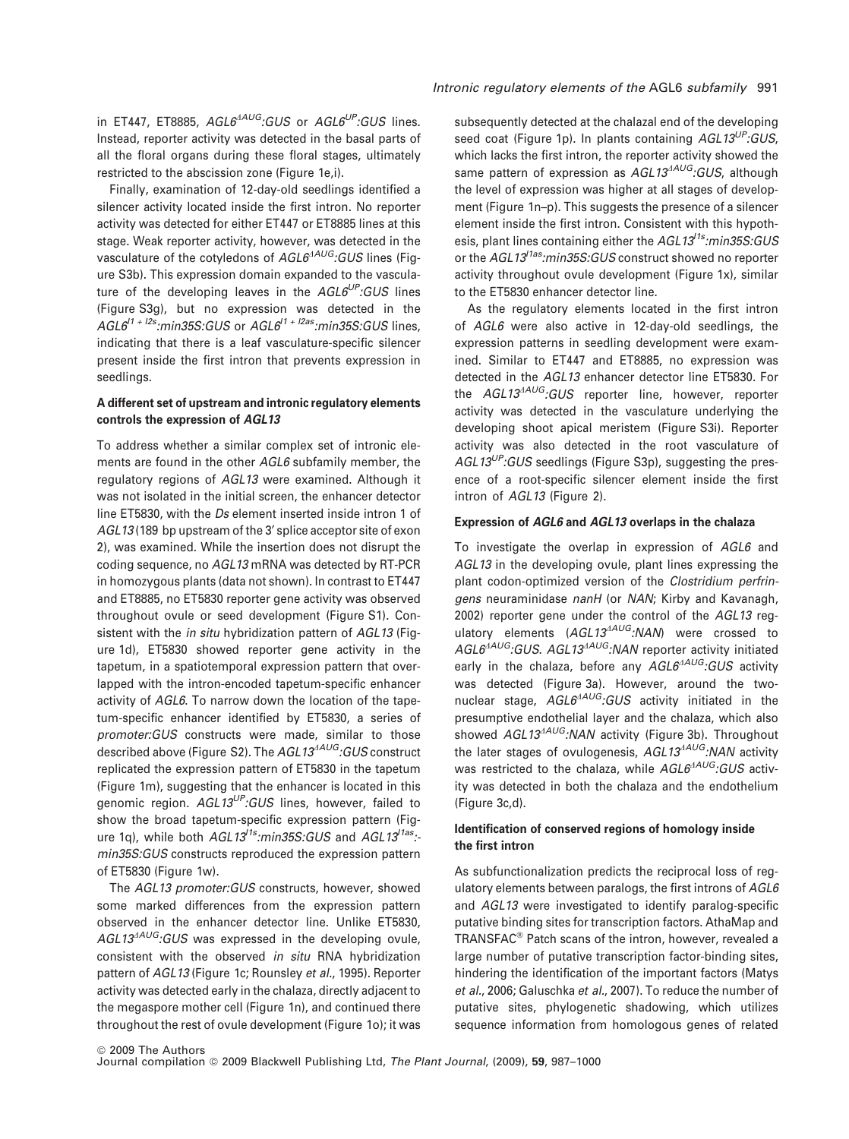in ET447, ET8885, AGL6<sup>4AUG</sup>:GUS or AGL6<sup>UP</sup>:GUS lines. Instead, reporter activity was detected in the basal parts of all the floral organs during these floral stages, ultimately restricted to the abscission zone (Figure 1e,i).

Finally, examination of 12-day-old seedlings identified a silencer activity located inside the first intron. No reporter activity was detected for either ET447 or ET8885 lines at this stage. Weak reporter activity, however, was detected in the vasculature of the cotyledons of  $AGL6^{AAUG}$ *:GUS* lines (Figure S3b). This expression domain expanded to the vasculature of the developing leaves in the *AGL6UP:GUS* lines (Figure S3g), but no expression was detected in the *AGL6I1 + I2s:min35S:GUS* or *AGL6I1 + I2as:min35S:GUS* lines, indicating that there is a leaf vasculature-specific silencer present inside the first intron that prevents expression in seedlings.

# A different set of upstream and intronic regulatory elements controls the expression of AGL13

To address whether a similar complex set of intronic elements are found in the other *AGL6* subfamily member, the regulatory regions of *AGL13* were examined. Although it was not isolated in the initial screen, the enhancer detector line ET5830, with the *Ds* element inserted inside intron 1 of AGL13(189 bp upstream of the 3' splice acceptor site of exon 2), was examined. While the insertion does not disrupt the coding sequence, no *AGL13* mRNA was detected by RT-PCR in homozygous plants (data not shown). In contrast to ET447 and ET8885, no ET5830 reporter gene activity was observed throughout ovule or seed development (Figure S1). Consistent with the *in situ* hybridization pattern of *AGL13* (Figure 1d), ET5830 showed reporter gene activity in the tapetum, in a spatiotemporal expression pattern that overlapped with the intron-encoded tapetum-specific enhancer activity of *AGL6*. To narrow down the location of the tapetum-specific enhancer identified by ET5830, a series of *promoter:GUS* constructs were made, similar to those described above (Figure S2). The *AGL13<sup>AUG</sup>:GUS* construct replicated the expression pattern of ET5830 in the tapetum (Figure 1m), suggesting that the enhancer is located in this genomic region. *AGL13UP:GUS* lines, however, failed to show the broad tapetum-specific expression pattern (Figure 1q), while both *AGL13<sup>11s</sup>:min35S:GUS* and *AGL13<sup>11as</sup>*:*min35S:GUS* constructs reproduced the expression pattern of ET5830 (Figure 1w).

The *AGL13 promoter:GUS* constructs, however, showed some marked differences from the expression pattern observed in the enhancer detector line. Unlike ET5830, AGL13<sup>AAUG</sup>:GUS was expressed in the developing ovule, consistent with the observed *in situ* RNA hybridization pattern of *AGL13* (Figure 1c; Rounsley *et al.*, 1995). Reporter activity was detected early in the chalaza, directly adjacent to the megaspore mother cell (Figure 1n), and continued there throughout the rest of ovule development (Figure 1o); it was

subsequently detected at the chalazal end of the developing seed coat (Figure 1p). In plants containing *AGL13UP:GUS*, which lacks the first intron, the reporter activity showed the same pattern of expression as AGL13<sup>AAUG</sup>:GUS, although the level of expression was higher at all stages of development (Figure 1n–p). This suggests the presence of a silencer element inside the first intron. Consistent with this hypothesis, plant lines containing either the *AGL13I1s:min35S:GUS* or the *AGL13I1as:min35S:GUS* construct showed no reporter activity throughout ovule development (Figure 1x), similar to the ET5830 enhancer detector line.

As the regulatory elements located in the first intron of *AGL6* were also active in 12-day-old seedlings, the expression patterns in seedling development were examined. Similar to ET447 and ET8885, no expression was detected in the *AGL13* enhancer detector line ET5830. For the *AGL13<sup>AUG</sup>*:*GUS* reporter line, however, reporter activity was detected in the vasculature underlying the developing shoot apical meristem (Figure S3i). Reporter activity was also detected in the root vasculature of *AGL13UP:GUS* seedlings (Figure S3p), suggesting the presence of a root-specific silencer element inside the first intron of *AGL13* (Figure 2).

#### Expression of AGL6 and AGL13 overlaps in the chalaza

To investigate the overlap in expression of *AGL6* and *AGL13* in the developing ovule, plant lines expressing the plant codon-optimized version of the *Clostridium perfringens* neuraminidase *nanH* (or *NAN*; Kirby and Kavanagh, 2002) reporter gene under the control of the *AGL13* regulatory elements (AGL13<sup>4AUG</sup>:NAN) were crossed to *AGL6*D*AUG:GUS*. *AGL13*D*AUG:NAN* reporter activity initiated early in the chalaza, before any AGL6<sup>AAUG</sup>:GUS activity was detected (Figure 3a). However, around the twonuclear stage,  $AGL6^{AAUG}$ *:GUS* activity initiated in the presumptive endothelial layer and the chalaza, which also showed *AGL13<sup>AAUG</sup>*:NAN activity (Figure 3b). Throughout the later stages of ovulogenesis, AGL13<sup>4AUG</sup>:NAN activity was restricted to the chalaza, while  $AGL6^{AAUG}$ *:GUS* activity was detected in both the chalaza and the endothelium (Figure 3c,d).

# Identification of conserved regions of homology inside the first intron

As subfunctionalization predicts the reciprocal loss of regulatory elements between paralogs, the first introns of *AGL6* and *AGL13* were investigated to identify paralog-specific putative binding sites for transcription factors. AthaMap and TRANSFAC<sup>®</sup> Patch scans of the intron, however, revealed a large number of putative transcription factor-binding sites, hindering the identification of the important factors (Matys *et al.*, 2006; Galuschka *et al.*, 2007). To reduce the number of putative sites, phylogenetic shadowing, which utilizes sequence information from homologous genes of related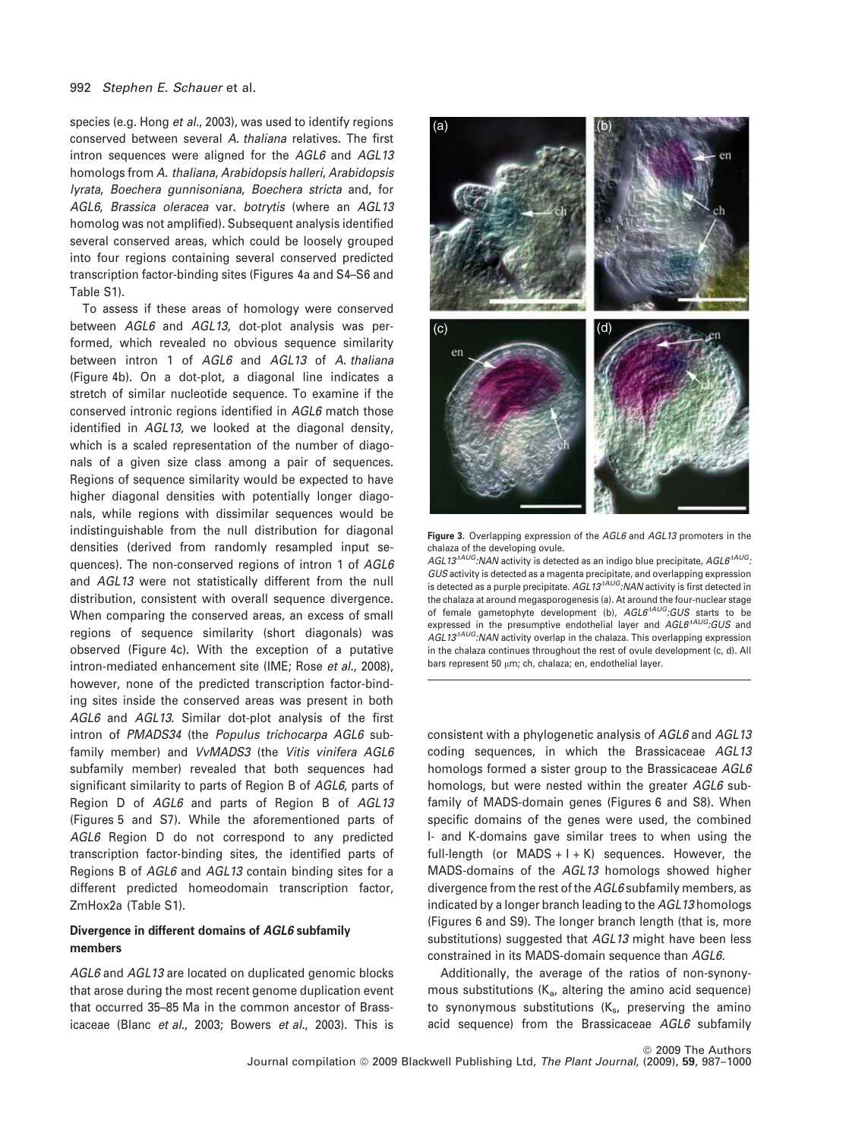species (e.g. Hong *et al.*, 2003), was used to identify regions conserved between several *A. thaliana* relatives. The first intron sequences were aligned for the *AGL6* and *AGL13* homologs from *A. thaliana*, *Arabidopsis halleri*, *Arabidopsis lyrata*, *Boechera gunnisoniana*, *Boechera stricta* and, for *AGL6*, *Brassica oleracea* var. *botrytis* (where an *AGL13* homolog was not amplified). Subsequent analysis identified several conserved areas, which could be loosely grouped into four regions containing several conserved predicted transcription factor-binding sites (Figures 4a and S4–S6 and Table S1).

To assess if these areas of homology were conserved between *AGL6* and *AGL13*, dot-plot analysis was performed, which revealed no obvious sequence similarity between intron 1 of *AGL6* and *AGL13* of *A. thaliana* (Figure 4b). On a dot-plot, a diagonal line indicates a stretch of similar nucleotide sequence. To examine if the conserved intronic regions identified in *AGL6* match those identified in *AGL13*, we looked at the diagonal density, which is a scaled representation of the number of diagonals of a given size class among a pair of sequences. Regions of sequence similarity would be expected to have higher diagonal densities with potentially longer diagonals, while regions with dissimilar sequences would be indistinguishable from the null distribution for diagonal densities (derived from randomly resampled input sequences). The non-conserved regions of intron 1 of *AGL6* and *AGL13* were not statistically different from the null distribution, consistent with overall sequence divergence. When comparing the conserved areas, an excess of small regions of sequence similarity (short diagonals) was observed (Figure 4c). With the exception of a putative intron-mediated enhancement site (IME; Rose *et al.*, 2008), however, none of the predicted transcription factor-binding sites inside the conserved areas was present in both *AGL6* and *AGL13*. Similar dot-plot analysis of the first intron of *PMADS34* (the *Populus trichocarpa AGL6* subfamily member) and *VvMADS3* (the *Vitis vinifera AGL6* subfamily member) revealed that both sequences had significant similarity to parts of Region B of *AGL6*, parts of Region D of *AGL6* and parts of Region B of *AGL13* (Figures 5 and S7). While the aforementioned parts of *AGL6* Region D do not correspond to any predicted transcription factor-binding sites, the identified parts of Regions B of *AGL6* and *AGL13* contain binding sites for a different predicted homeodomain transcription factor, ZmHox2a (Table S1).

# Divergence in different domains of AGL6 subfamily members

*AGL6* and *AGL13* are located on duplicated genomic blocks that arose during the most recent genome duplication event that occurred 35–85 Ma in the common ancestor of Brassicaceae (Blanc *et al.*, 2003; Bowers *et al.*, 2003). This is



Figure 3. Overlapping expression of the *AGL6* and *AGL13* promoters in the chalaza of the developing ovule.

*AGL13<sup>AAUG</sup>:NAN* activity is detected as an indigo blue precipitate, *AGL6<sup>AAUG</sup>*: *GUS* activity is detected as a magenta precipitate, and overlapping expression is detected as a purple precipitate. AGL13<sup>AAUG</sup>*:NAN* activity is first detected in the chalaza at around megasporogenesis (a). At around the four-nuclear stage of female gametophyte development (b),  $AGL6^{AAUG}$ *:GUS* starts to be expressed in the presumptive endothelial layer and  $AGL6^{AAUG}$ *:GUS* and AGL13<sup>4AUG</sup>:NAN activity overlap in the chalaza. This overlapping expression in the chalaza continues throughout the rest of ovule development (c, d). All bars represent 50 µm; ch, chalaza; en, endothelial layer.

consistent with a phylogenetic analysis of *AGL6* and *AGL13* coding sequences, in which the Brassicaceae *AGL13* homologs formed a sister group to the Brassicaceae *AGL6* homologs, but were nested within the greater *AGL6* subfamily of MADS-domain genes (Figures 6 and S8). When specific domains of the genes were used, the combined I- and K-domains gave similar trees to when using the full-length (or MADS  $+$  I + K) sequences. However, the MADS-domains of the *AGL13* homologs showed higher divergence from the rest of the *AGL6* subfamily members, as indicated by a longer branch leading to the *AGL13* homologs (Figures 6 and S9). The longer branch length (that is, more substitutions) suggested that *AGL13* might have been less constrained in its MADS-domain sequence than *AGL6.*

Additionally, the average of the ratios of non-synonymous substitutions  $(K_a)$ , altering the amino acid sequence) to synonymous substitutions  $(K_s,$  preserving the amino acid sequence) from the Brassicaceae *AGL6* subfamily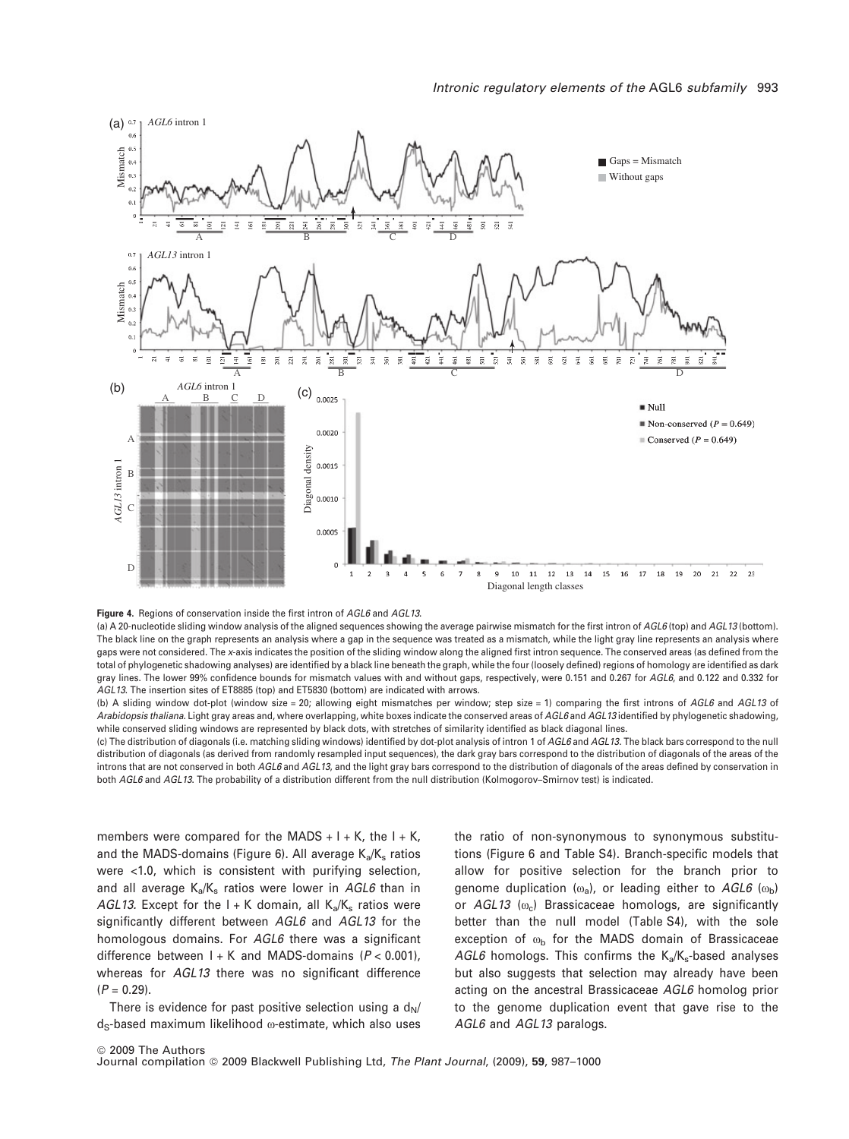



(a) A 20-nucleotide sliding window analysis of the aligned sequences showing the average pairwise mismatch for the first intron of *AGL6* (top) and *AGL13* (bottom). The black line on the graph represents an analysis where a gap in the sequence was treated as a mismatch, while the light gray line represents an analysis where gaps were not considered. The *x*-axis indicates the position of the sliding window along the aligned first intron sequence. The conserved areas (as defined from the total of phylogenetic shadowing analyses) are identified by a black line beneath the graph, while the four (loosely defined) regions of homology are identified as dark gray lines. The lower 99% confidence bounds for mismatch values with and without gaps, respectively, were 0.151 and 0.267 for *AGL6*, and 0.122 and 0.332 for *AGL13*. The insertion sites of ET8885 (top) and ET5830 (bottom) are indicated with arrows.

(b) A sliding window dot-plot (window size = 20; allowing eight mismatches per window; step size = 1) comparing the first introns of *AGL6* and *AGL13* of *Arabidopsis thaliana*. Light gray areas and, where overlapping, white boxes indicate the conserved areas of *AGL6* and *AGL13* identified by phylogenetic shadowing, while conserved sliding windows are represented by black dots, with stretches of similarity identified as black diagonal lines.

(c) The distribution of diagonals (i.e. matching sliding windows) identified by dot-plot analysis of intron 1 of *AGL6* and *AGL13*. The black bars correspond to the null distribution of diagonals (as derived from randomly resampled input sequences), the dark gray bars correspond to the distribution of diagonals of the areas of the introns that are not conserved in both *AGL6* and *AGL13*, and the light gray bars correspond to the distribution of diagonals of the areas defined by conservation in both *AGL6* and *AGL13*. The probability of a distribution different from the null distribution (Kolmogorov–Smirnov test) is indicated.

members were compared for the MADS  $+$  I + K, the I + K, and the MADS-domains (Figure 6). All average  $K_a/K_s$  ratios were <1.0, which is consistent with purifying selection, and all average K<sub>a</sub>/K<sub>s</sub> ratios were lower in AGL6 than in *AGL13.* Except for the  $I + K$  domain, all  $K_a/K_s$  ratios were significantly different between *AGL6* and *AGL13* for the homologous domains. For *AGL6* there was a significant difference between I + K and MADS-domains (*P* < 0.001), whereas for *AGL13* there was no significant difference  $(P = 0.29)$ .

There is evidence for past positive selection using a  $d_N$ /  $d<sub>S</sub>$ -based maximum likelihood  $\omega$ -estimate, which also uses

the ratio of non-synonymous to synonymous substitutions (Figure 6 and Table S4). Branch-specific models that allow for positive selection for the branch prior to genome duplication  $(\omega_a)$ , or leading either to  $AGL6$   $(\omega_b)$ or *AGL13* ( $\omega_c$ ) Brassicaceae homologs, are significantly better than the null model (Table S4), with the sole exception of  $\omega_{\rm b}$  for the MADS domain of Brassicaceae *AGL6* homologs. This confirms the  $K_a/K_s$ -based analyses but also suggests that selection may already have been acting on the ancestral Brassicaceae *AGL6* homolog prior to the genome duplication event that gave rise to the *AGL6* and *AGL13* paralogs.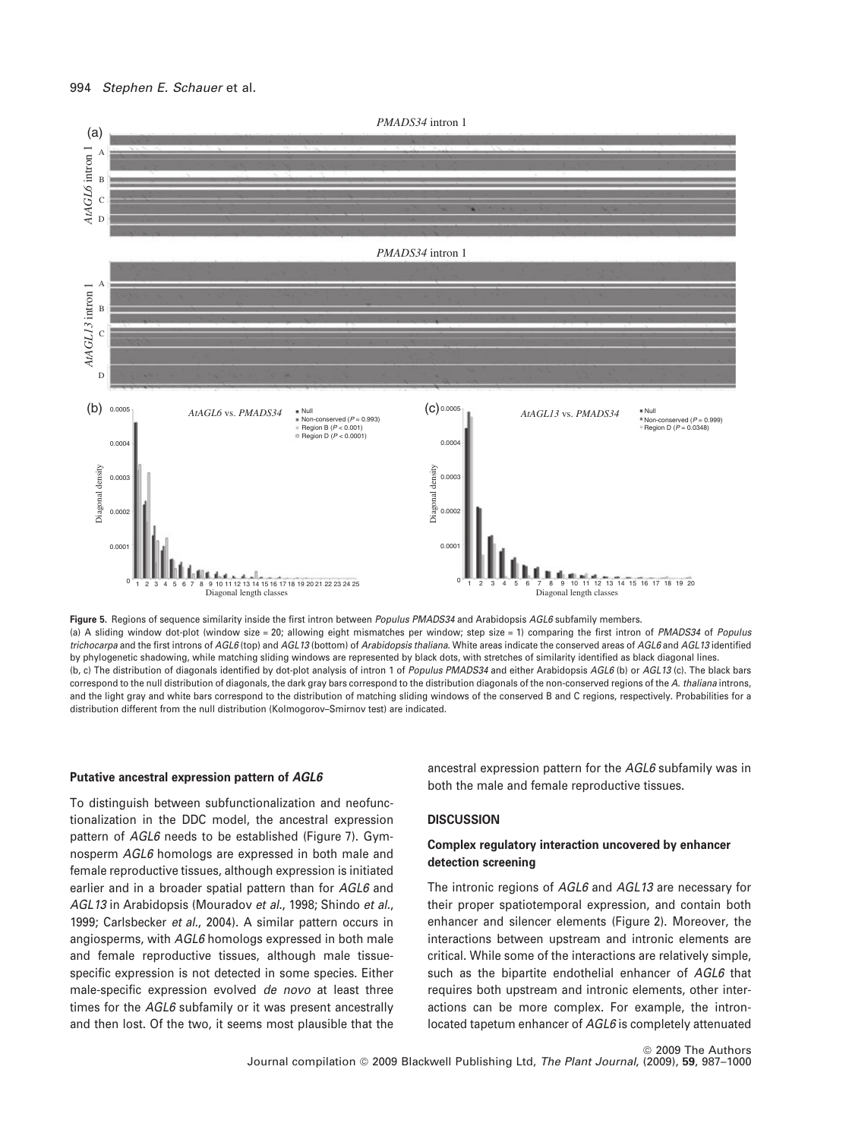

Figure 5. Regions of sequence similarity inside the first intron between *Populus PMADS34* and Arabidopsis *AGL6* subfamily members. (a) A sliding window dot-plot (window size = 20; allowing eight mismatches per window; step size = 1) comparing the first intron of *PMADS34* of *Populus trichocarpa* and the first introns of *AGL6* (top) and *AGL13* (bottom) of *Arabidopsis thaliana*. White areas indicate the conserved areas of *AGL6* and *AGL13* identified by phylogenetic shadowing, while matching sliding windows are represented by black dots, with stretches of similarity identified as black diagonal lines. (b, c) The distribution of diagonals identified by dot-plot analysis of intron 1 of *Populus PMADS34* and either Arabidopsis *AGL6* (b) or *AGL13* (c). The black bars correspond to the null distribution of diagonals, the dark gray bars correspond to the distribution diagonals of the non-conserved regions of the *A. thaliana* introns, and the light gray and white bars correspond to the distribution of matching sliding windows of the conserved B and C regions, respectively. Probabilities for a distribution different from the null distribution (Kolmogorov–Smirnov test) are indicated.

#### Putative ancestral expression pattern of AGL6

To distinguish between subfunctionalization and neofunctionalization in the DDC model, the ancestral expression pattern of *AGL6* needs to be established (Figure 7). Gymnosperm *AGL6* homologs are expressed in both male and female reproductive tissues, although expression is initiated earlier and in a broader spatial pattern than for *AGL6* and *AGL13* in Arabidopsis (Mouradov *et al.*, 1998; Shindo *et al.*, 1999; Carlsbecker *et al.*, 2004). A similar pattern occurs in angiosperms, with *AGL6* homologs expressed in both male and female reproductive tissues, although male tissuespecific expression is not detected in some species. Either male-specific expression evolved *de novo* at least three times for the *AGL6* subfamily or it was present ancestrally and then lost. Of the two, it seems most plausible that the

ancestral expression pattern for the *AGL6* subfamily was in both the male and female reproductive tissues.

# **DISCUSSION**

# Complex regulatory interaction uncovered by enhancer detection screening

The intronic regions of *AGL6* and *AGL13* are necessary for their proper spatiotemporal expression, and contain both enhancer and silencer elements (Figure 2). Moreover, the interactions between upstream and intronic elements are critical. While some of the interactions are relatively simple, such as the bipartite endothelial enhancer of *AGL6* that requires both upstream and intronic elements, other interactions can be more complex. For example, the intronlocated tapetum enhancer of *AGL6* is completely attenuated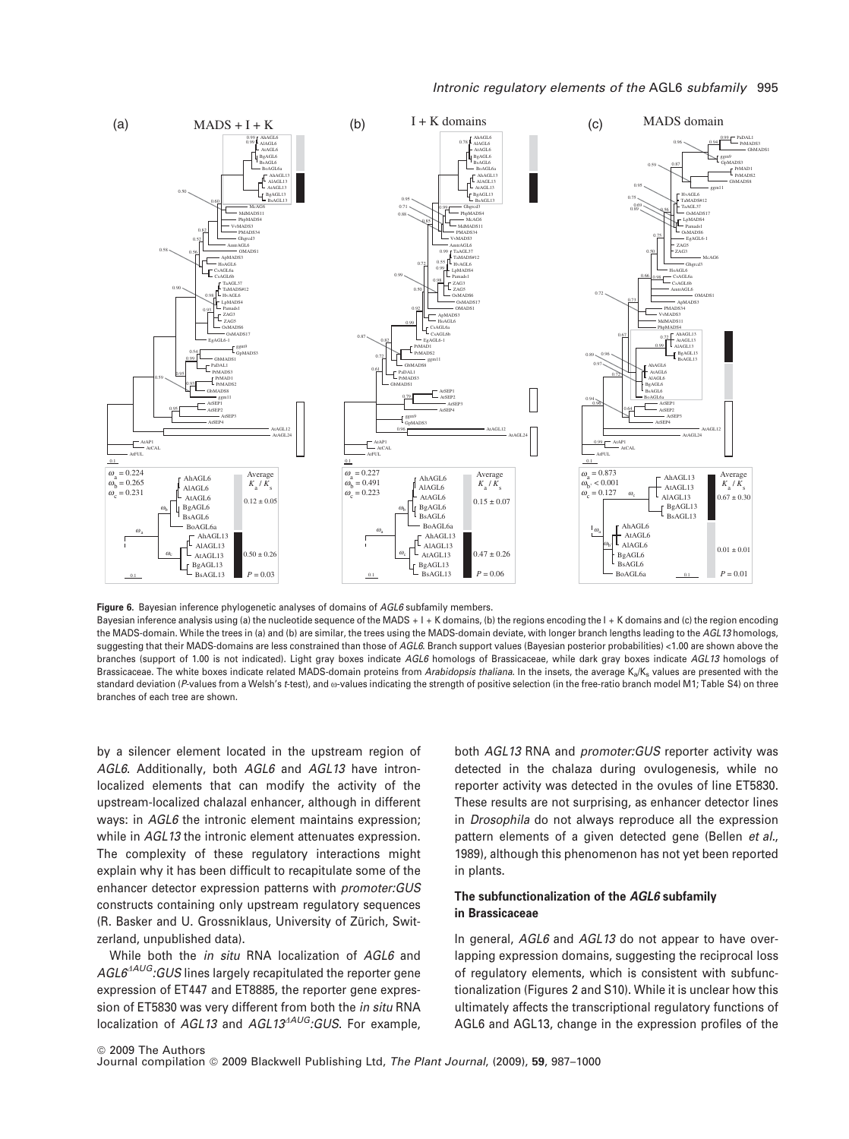

Figure 6. Bayesian inference phylogenetic analyses of domains of *AGL6* subfamily members.

Bayesian inference analysis using (a) the nucleotide sequence of the MADS + I + K domains, (b) the regions encoding the I + K domains and (c) the region encoding the MADS-domain. While the trees in (a) and (b) are similar, the trees using the MADS-domain deviate, with longer branch lengths leading to the *AGL13* homologs, suggesting that their MADS-domains are less constrained than those of *AGL6*. Branch support values (Bayesian posterior probabilities) <1.00 are shown above the branches (support of 1.00 is not indicated). Light gray boxes indicate *AGL6* homologs of Brassicaceae, while dark gray boxes indicate *AGL13* homologs of Brassicaceae. The white boxes indicate related MADS-domain proteins from *Arabidopsis thaliana*. In the insets, the average K<sub>a</sub>/K<sub>s</sub> values are presented with the standard deviation (P-values from a Welsh's *t*-test), and  $\omega$ -values indicating the strength of positive selection (in the free-ratio branch model M1; Table S4) on three branches of each tree are shown.

by a silencer element located in the upstream region of *AGL6*. Additionally, both *AGL6* and *AGL13* have intronlocalized elements that can modify the activity of the upstream-localized chalazal enhancer, although in different ways: in *AGL6* the intronic element maintains expression; while in *AGL13* the intronic element attenuates expression. The complexity of these regulatory interactions might explain why it has been difficult to recapitulate some of the enhancer detector expression patterns with *promoter:GUS* constructs containing only upstream regulatory sequences (R. Basker and U. Grossniklaus, University of Zürich, Switzerland, unpublished data).

While both the *in situ* RNA localization of *AGL6* and AGL6<sup>4AUG</sup>*:GUS* lines largely recapitulated the reporter gene expression of ET447 and ET8885, the reporter gene expression of ET5830 was very different from both the *in situ* RNA localization of *AGL13* and *AGL13<sup>AAUG</sup>*:GUS. For example,

both *AGL13* RNA and *promoter:GUS* reporter activity was detected in the chalaza during ovulogenesis, while no reporter activity was detected in the ovules of line ET5830. These results are not surprising, as enhancer detector lines in *Drosophila* do not always reproduce all the expression pattern elements of a given detected gene (Bellen *et al.*, 1989), although this phenomenon has not yet been reported in plants.

# The subfunctionalization of the AGL6 subfamily in Brassicaceae

In general, *AGL6* and *AGL13* do not appear to have overlapping expression domains, suggesting the reciprocal loss of regulatory elements, which is consistent with subfunctionalization (Figures 2 and S10). While it is unclear how this ultimately affects the transcriptional regulatory functions of AGL6 and AGL13, change in the expression profiles of the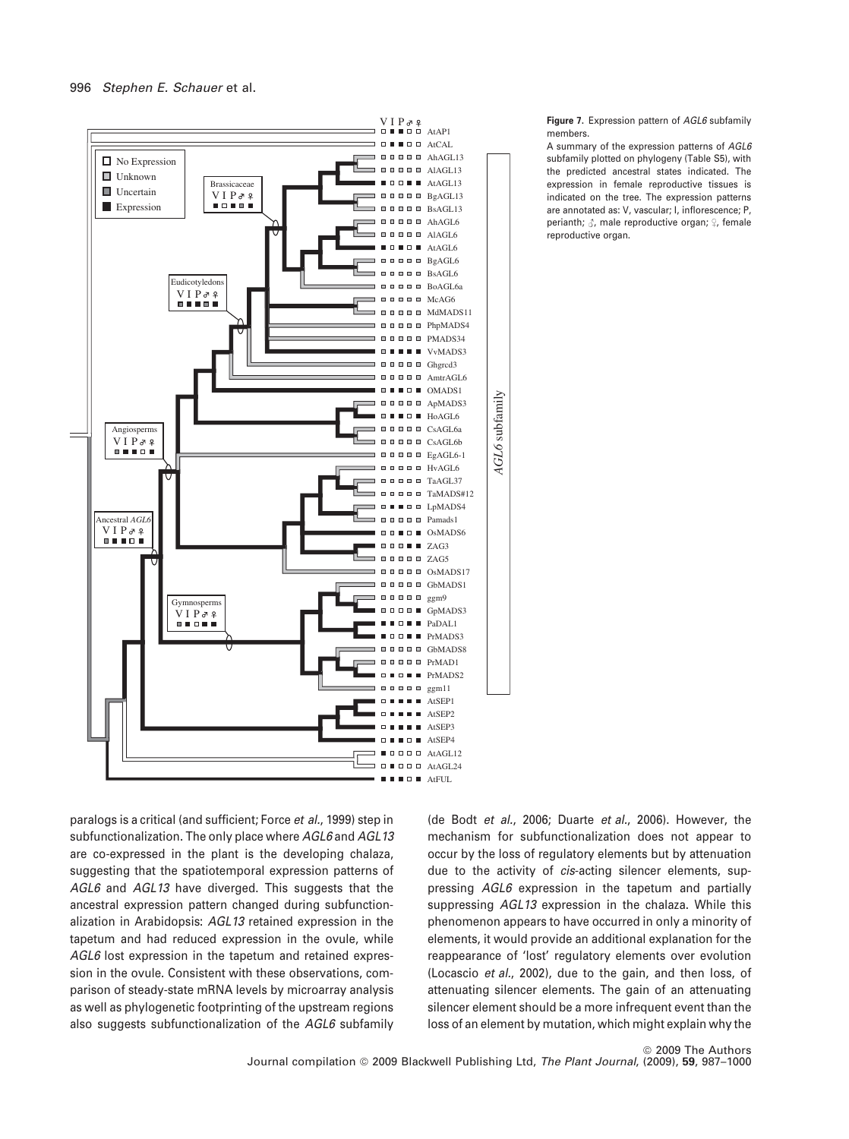

Figure 7. Expression pattern of *AGL6* subfamily members.

A summary of the expression patterns of *AGL6* subfamily plotted on phylogeny (Table S5), with the predicted ancestral states indicated. The expression in female reproductive tissues is indicated on the tree. The expression patterns are annotated as: V, vascular; L, inflorescence; P, perianth;  $\beta$ , male reproductive organ;  $\Omega$ , female reproductive organ.

paralogs is a critical (and sufficient; Force *et al.*, 1999) step in subfunctionalization. The only place where *AGL6* and *AGL13* are co-expressed in the plant is the developing chalaza, suggesting that the spatiotemporal expression patterns of *AGL6* and *AGL13* have diverged. This suggests that the ancestral expression pattern changed during subfunctionalization in Arabidopsis: *AGL13* retained expression in the tapetum and had reduced expression in the ovule, while *AGL6* lost expression in the tapetum and retained expression in the ovule. Consistent with these observations, comparison of steady-state mRNA levels by microarray analysis as well as phylogenetic footprinting of the upstream regions also suggests subfunctionalization of the *AGL6* subfamily

(de Bodt *et al.*, 2006; Duarte *et al.*, 2006). However, the mechanism for subfunctionalization does not appear to occur by the loss of regulatory elements but by attenuation due to the activity of *cis*-acting silencer elements, suppressing *AGL6* expression in the tapetum and partially suppressing *AGL13* expression in the chalaza. While this phenomenon appears to have occurred in only a minority of elements, it would provide an additional explanation for the reappearance of 'lost' regulatory elements over evolution (Locascio *et al.*, 2002), due to the gain, and then loss, of attenuating silencer elements. The gain of an attenuating silencer element should be a more infrequent event than the loss of an element by mutation, which might explain why the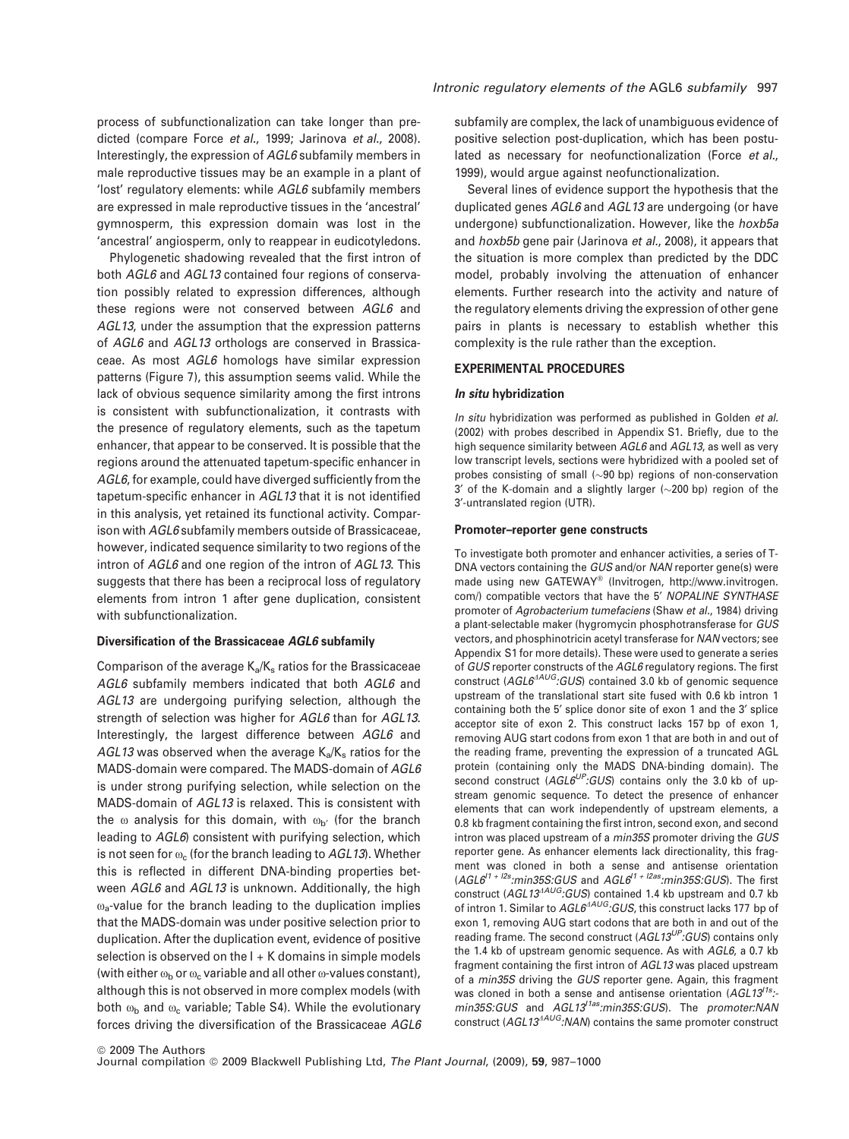process of subfunctionalization can take longer than predicted (compare Force *et al.*, 1999; Jarinova *et al.*, 2008). Interestingly, the expression of *AGL6* subfamily members in male reproductive tissues may be an example in a plant of 'lost' regulatory elements: while *AGL6* subfamily members are expressed in male reproductive tissues in the 'ancestral' gymnosperm, this expression domain was lost in the 'ancestral' angiosperm, only to reappear in eudicotyledons.

Phylogenetic shadowing revealed that the first intron of both *AGL6* and *AGL13* contained four regions of conservation possibly related to expression differences, although these regions were not conserved between *AGL6* and *AGL13*, under the assumption that the expression patterns of *AGL6* and *AGL13* orthologs are conserved in Brassicaceae. As most *AGL6* homologs have similar expression patterns (Figure 7), this assumption seems valid. While the lack of obvious sequence similarity among the first introns is consistent with subfunctionalization, it contrasts with the presence of regulatory elements, such as the tapetum enhancer, that appear to be conserved. It is possible that the regions around the attenuated tapetum-specific enhancer in *AGL6*, for example, could have diverged sufficiently from the tapetum-specific enhancer in *AGL13* that it is not identified in this analysis, yet retained its functional activity. Comparison with *AGL6* subfamily members outside of Brassicaceae, however, indicated sequence similarity to two regions of the intron of *AGL6* and one region of the intron of *AGL13*. This suggests that there has been a reciprocal loss of regulatory elements from intron 1 after gene duplication, consistent with subfunctionalization.

#### Diversification of the Brassicaceae AGL6 subfamily

Comparison of the average  $K_a/K_s$  ratios for the Brassicaceae *AGL6* subfamily members indicated that both *AGL6* and *AGL13* are undergoing purifying selection, although the strength of selection was higher for *AGL6* than for *AGL13*. Interestingly, the largest difference between *AGL6* and AGL13 was observed when the average K<sub>a</sub>/K<sub>s</sub> ratios for the MADS-domain were compared. The MADS-domain of *AGL6* is under strong purifying selection, while selection on the MADS-domain of *AGL13* is relaxed. This is consistent with the  $\omega$  analysis for this domain, with  $\omega_{\mathbf{b}'}$  (for the branch leading to *AGL6*) consistent with purifying selection, which is not seen for  $\omega_c$  (for the branch leading to  $AGL13$ ). Whether this is reflected in different DNA-binding properties between *AGL6* and *AGL13* is unknown. Additionally, the high  $\omega$ <sub>a</sub>-value for the branch leading to the duplication implies that the MADS-domain was under positive selection prior to duplication. After the duplication event, evidence of positive selection is observed on the  $I + K$  domains in simple models (with either  $\omega_{\rm b}$  or  $\omega_{\rm c}$  variable and all other  $\omega$ -values constant), although this is not observed in more complex models (with both  $\omega_{\rm b}$  and  $\omega_{\rm c}$  variable; Table S4). While the evolutionary forces driving the diversification of the Brassicaceae *AGL6* subfamily are complex, the lack of unambiguous evidence of positive selection post-duplication, which has been postulated as necessary for neofunctionalization (Force *et al.*, 1999), would argue against neofunctionalization.

Several lines of evidence support the hypothesis that the duplicated genes *AGL6* and *AGL13* are undergoing (or have undergone) subfunctionalization. However, like the *hoxb5a* and *hoxb5b* gene pair (Jarinova *et al.*, 2008), it appears that the situation is more complex than predicted by the DDC model, probably involving the attenuation of enhancer elements. Further research into the activity and nature of the regulatory elements driving the expression of other gene pairs in plants is necessary to establish whether this complexity is the rule rather than the exception.

# EXPERIMENTAL PROCEDURES

# In situ hybridization

*In situ* hybridization was performed as published in Golden *et al.* (2002) with probes described in Appendix S1. Briefly, due to the high sequence similarity between *AGL6* and *AGL13*, as well as very low transcript levels, sections were hybridized with a pooled set of probes consisting of small  $(\sim]90$  bp) regions of non-conservation  $3'$  of the K-domain and a slightly larger ( $\sim$ 200 bp) region of the 3¢-untranslated region (UTR).

#### Promoter–reporter gene constructs

To investigate both promoter and enhancer activities, a series of T-DNA vectors containing the *GUS* and/or *NAN* reporter gene(s) were made using new GATEWAY® (Invitrogen, http://www.invitrogen. com/) compatible vectors that have the 5¢ *NOPALINE SYNTHASE* promoter of *Agrobacterium tumefaciens* (Shaw *et al.*, 1984) driving a plant-selectable maker (hygromycin phosphotransferase for *GUS* vectors, and phosphinotricin acetyl transferase for *NAN* vectors; see Appendix S1 for more details). These were used to generate a series of *GUS* reporter constructs of the *AGL6* regulatory regions. The first construct (AGL6<sup>4AUG</sup>*:GUS*) contained 3.0 kb of genomic sequence upstream of the translational start site fused with 0.6 kb intron 1 containing both the 5' splice donor site of exon 1 and the 3' splice acceptor site of exon 2. This construct lacks 157 bp of exon 1, removing AUG start codons from exon 1 that are both in and out of the reading frame, preventing the expression of a truncated AGL protein (containing only the MADS DNA-binding domain). The second construct (*AGL6UP:GUS*) contains only the 3.0 kb of upstream genomic sequence. To detect the presence of enhancer elements that can work independently of upstream elements, a 0.8 kb fragment containing the first intron, second exon, and second intron was placed upstream of a *min35S* promoter driving the *GUS* reporter gene. As enhancer elements lack directionality, this fragment was cloned in both a sense and antisense orientation (*AGL6I1 + I2s:min35S:GUS* and *AGL6I1 + I2as:min35S:GUS*). The first construct (AGL13<sup>4AUG</sup>:GUS) contained 1.4 kb upstream and 0.7 kb of intron 1. Similar to  $AGL6^{AAUG}$ *:GUS*, this construct lacks 177 bp of exon 1, removing AUG start codons that are both in and out of the reading frame. The second construct (*AGL13UP:GUS*) contains only the 1.4 kb of upstream genomic sequence. As with *AGL6*, a 0.7 kb fragment containing the first intron of *AGL13* was placed upstream of a *min35S* driving the *GUS* reporter gene. Again, this fragment was cloned in both a sense and antisense orientation (AGL13<sup>/1s</sup>:*min35S:GUS* and *AGL13I1as:min35S:GUS*). The *promoter:NAN* construct (*AGL13<sup>AAUG</sup>*:*NAN*) contains the same promoter construct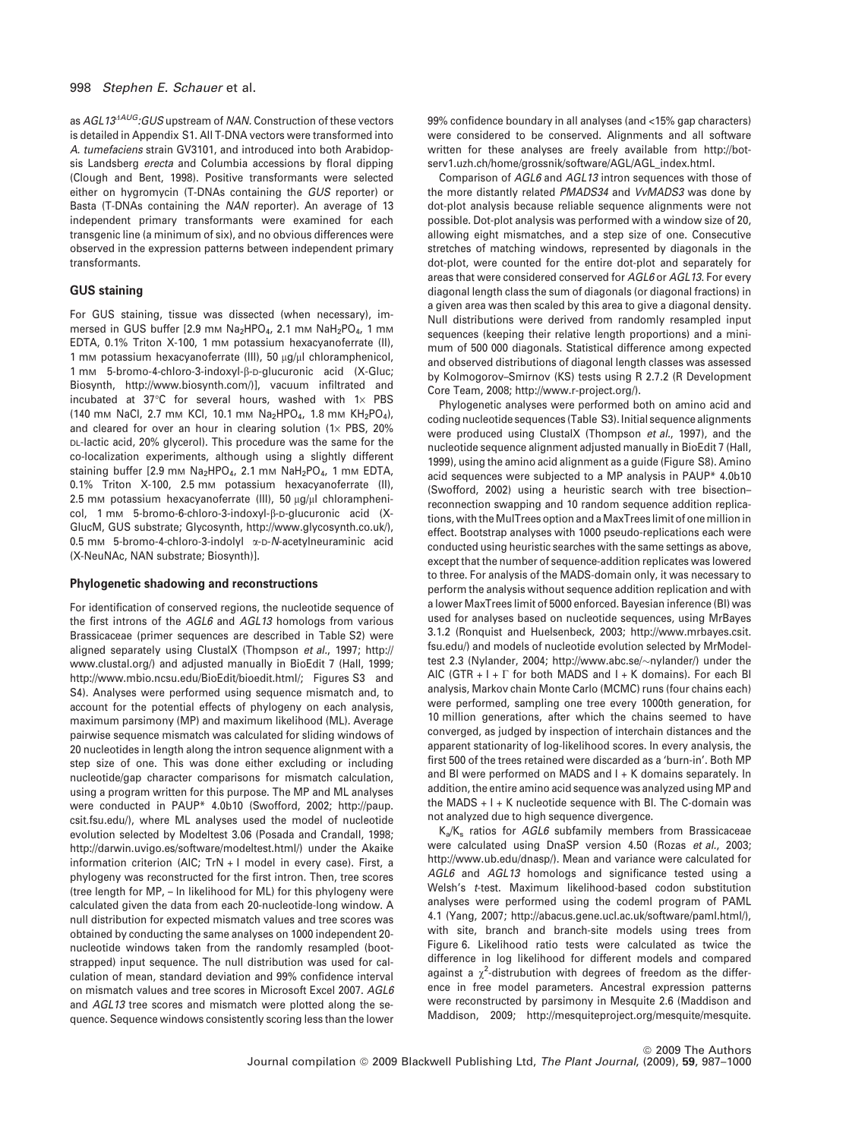as *AGL13<sup>AAUG</sup>*:GUS upstream of *NAN*. Construction of these vectors is detailed in Appendix S1. All T-DNA vectors were transformed into *A. tumefaciens* strain GV3101, and introduced into both Arabidopsis Landsberg *erecta* and Columbia accessions by floral dipping (Clough and Bent, 1998). Positive transformants were selected either on hygromycin (T-DNAs containing the *GUS* reporter) or Basta (T-DNAs containing the *NAN* reporter). An average of 13 independent primary transformants were examined for each transgenic line (a minimum of six), and no obvious differences were observed in the expression patterns between independent primary transformants.

## GUS staining

For GUS staining, tissue was dissected (when necessary), immersed in GUS buffer [2.9 mm Na<sub>2</sub>HPO<sub>4</sub>, 2.1 mm NaH<sub>2</sub>PO<sub>4</sub>, 1 mm EDTA, 0.1% Triton X-100, 1 mm potassium hexacyanoferrate (II), 1 mm potassium hexacyanoferrate (III), 50 µg/µl chloramphenicol, 1 mm 5-bromo-4-chloro-3-indoxyl-ß-p-glucuronic acid (X-Gluc; Biosynth, http://www.biosynth.com/)], vacuum infiltrated and incubated at  $37^{\circ}$ C for several hours, washed with 1 $\times$  PBS (140 mm NaCl, 2.7 mm KCl, 10.1 mm Na<sub>2</sub>HPO<sub>4</sub>, 1.8 mm KH<sub>2</sub>PO<sub>4</sub>), and cleared for over an hour in clearing solution (1 $\times$  PBS, 20% DL-lactic acid, 20% glycerol). This procedure was the same for the co-localization experiments, although using a slightly different staining buffer [2.9 mm  $Na<sub>2</sub>HPO<sub>4</sub>$ , 2.1 mm  $NaH<sub>2</sub>PO<sub>4</sub>$ , 1 mm EDTA, 0.1% Triton X-100, 2.5 mm potassium hexacyanoferrate (II), 2.5 mm potassium hexacyanoferrate (III), 50  $\mu$ g/ $\mu$ l chloramphenicol. 1 mm 5-bromo-6-chloro-3-indoxyl-β-D-glucuronic acid (X-GlucM, GUS substrate; Glycosynth, http://www.glycosynth.co.uk/), 0.5 mM 5-bromo-4-chloro-3-indolyl a-D-*N*-acetylneuraminic acid (X-NeuNAc, NAN substrate; Biosynth)].

#### Phylogenetic shadowing and reconstructions

For identification of conserved regions, the nucleotide sequence of the first introns of the *AGL6* and *AGL13* homologs from various Brassicaceae (primer sequences are described in Table S2) were aligned separately using ClustalX (Thompson *et al.*, 1997; http:// www.clustal.org/) and adjusted manually in BioEdit 7 (Hall, 1999; http://www.mbio.ncsu.edu/BioEdit/bioedit.html/; Figures S3 and S4). Analyses were performed using sequence mismatch and, to account for the potential effects of phylogeny on each analysis, maximum parsimony (MP) and maximum likelihood (ML). Average pairwise sequence mismatch was calculated for sliding windows of 20 nucleotides in length along the intron sequence alignment with a step size of one. This was done either excluding or including nucleotide/gap character comparisons for mismatch calculation, using a program written for this purpose. The MP and ML analyses were conducted in PAUP\* 4.0b10 (Swofford, 2002; http://paup. csit.fsu.edu/), where ML analyses used the model of nucleotide evolution selected by Modeltest 3.06 (Posada and Crandall, 1998; http://darwin.uvigo.es/software/modeltest.html/) under the Akaike information criterion (AIC; TrN + I model in every case). First, a phylogeny was reconstructed for the first intron. Then, tree scores (tree length for MP, – ln likelihood for ML) for this phylogeny were calculated given the data from each 20-nucleotide-long window. A null distribution for expected mismatch values and tree scores was obtained by conducting the same analyses on 1000 independent 20 nucleotide windows taken from the randomly resampled (bootstrapped) input sequence. The null distribution was used for calculation of mean, standard deviation and 99% confidence interval on mismatch values and tree scores in Microsoft Excel 2007. *AGL6* and *AGL13* tree scores and mismatch were plotted along the sequence. Sequence windows consistently scoring less than the lower

99% confidence boundary in all analyses (and <15% gap characters) were considered to be conserved. Alignments and all software written for these analyses are freely available from http://botserv1.uzh.ch/home/grossnik/software/AGL/AGL\_index.html.

Comparison of *AGL6* and *AGL13* intron sequences with those of the more distantly related *PMADS34* and *VvMADS3* was done by dot-plot analysis because reliable sequence alignments were not possible. Dot-plot analysis was performed with a window size of 20, allowing eight mismatches, and a step size of one. Consecutive stretches of matching windows, represented by diagonals in the dot-plot, were counted for the entire dot-plot and separately for areas that were considered conserved for *AGL6* or *AGL13*. For every diagonal length class the sum of diagonals (or diagonal fractions) in a given area was then scaled by this area to give a diagonal density. Null distributions were derived from randomly resampled input sequences (keeping their relative length proportions) and a minimum of 500 000 diagonals. Statistical difference among expected and observed distributions of diagonal length classes was assessed by Kolmogorov–Smirnov (KS) tests using R 2.7.2 (R Development Core Team, 2008; http://www.r-project.org/).

Phylogenetic analyses were performed both on amino acid and coding nucleotide sequences (Table S3). Initial sequence alignments were produced using ClustalX (Thompson *et al.*, 1997), and the nucleotide sequence alignment adjusted manually in BioEdit 7 (Hall, 1999), using the amino acid alignment as a guide (Figure S8). Amino acid sequences were subjected to a MP analysis in PAUP\* 4.0b10 (Swofford, 2002) using a heuristic search with tree bisection– reconnection swapping and 10 random sequence addition replications, with the MulTrees option and aMaxTrees limit of one million in effect. Bootstrap analyses with 1000 pseudo-replications each were conducted using heuristic searches with the same settings as above, except that the number of sequence-addition replicates was lowered to three. For analysis of the MADS-domain only, it was necessary to perform the analysis without sequence addition replication and with a lower MaxTrees limit of 5000 enforced. Bayesian inference (BI) was used for analyses based on nucleotide sequences, using MrBayes 3.1.2 (Ronquist and Huelsenbeck, 2003; http://www.mrbayes.csit. fsu.edu/) and models of nucleotide evolution selected by MrModeltest 2.3 (Nylander, 2004; http://www.abc.se/~nylander/) under the AIC (GTR +  $I$  +  $\Gamma$  for both MADS and  $I$  + K domains). For each BI analysis, Markov chain Monte Carlo (MCMC) runs (four chains each) were performed, sampling one tree every 1000th generation, for 10 million generations, after which the chains seemed to have converged, as judged by inspection of interchain distances and the apparent stationarity of log-likelihood scores. In every analysis, the first 500 of the trees retained were discarded as a 'burn-in'. Both MP and BI were performed on MADS and I + K domains separately. In addition, the entire amino acid sequence was analyzed using MP and the MADS  $+$  I  $+$  K nucleotide sequence with BI. The C-domain was not analyzed due to high sequence divergence.

Ka/K<sup>s</sup> ratios for *AGL6* subfamily members from Brassicaceae were calculated using DnaSP version 4.50 (Rozas *et al.*, 2003; http://www.ub.edu/dnasp/). Mean and variance were calculated for *AGL6* and *AGL13* homologs and significance tested using a Welsh's *t*-test. Maximum likelihood-based codon substitution analyses were performed using the codeml program of PAML 4.1 (Yang, 2007; http://abacus.gene.ucl.ac.uk/software/paml.html/), with site, branch and branch-site models using trees from Figure 6. Likelihood ratio tests were calculated as twice the difference in log likelihood for different models and compared against a  $\chi^2$ -distrubution with degrees of freedom as the difference in free model parameters. Ancestral expression patterns were reconstructed by parsimony in Mesquite 2.6 (Maddison and Maddison, 2009; http://mesquiteproject.org/mesquite/mesquite.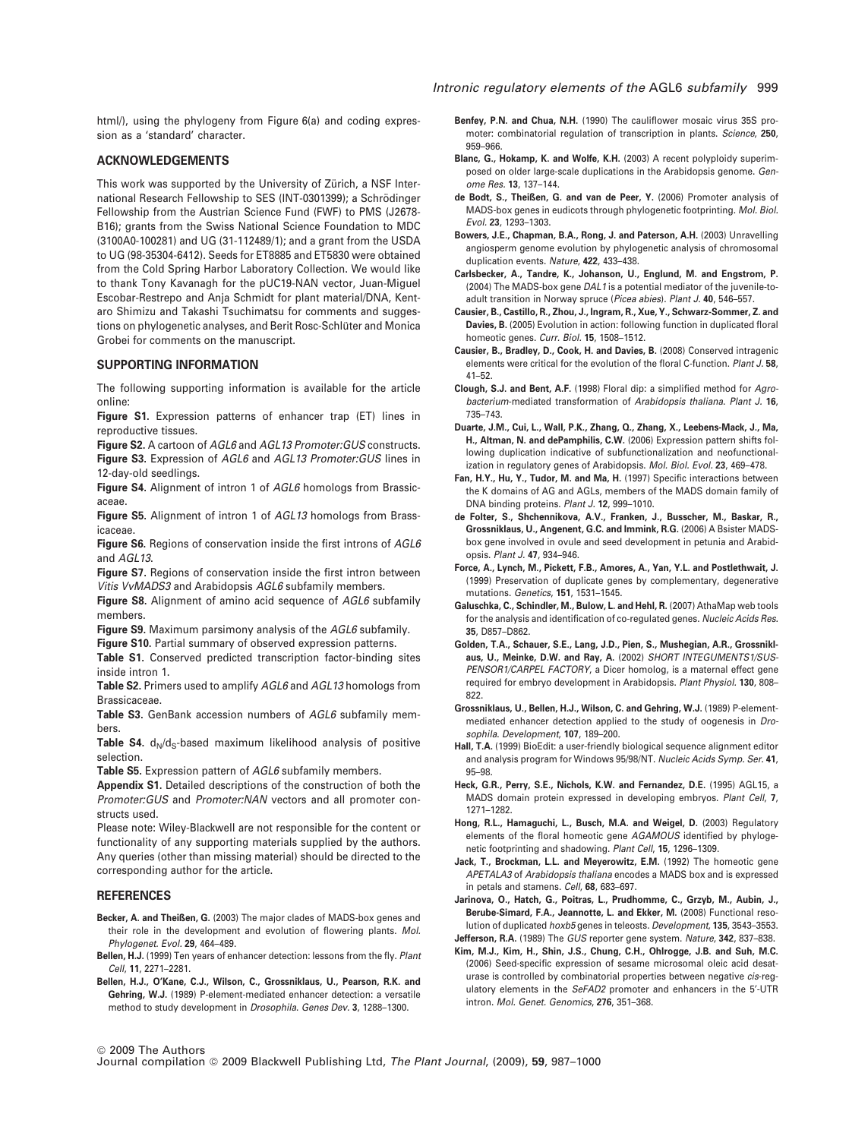#### ACKNOWLEDGEMENTS

This work was supported by the University of Zürich, a NSF International Research Fellowship to SES (INT-0301399); a Schrödinger Fellowship from the Austrian Science Fund (FWF) to PMS (J2678- B16); grants from the Swiss National Science Foundation to MDC (3100A0-100281) and UG (31-112489/1); and a grant from the USDA to UG (98-35304-6412). Seeds for ET8885 and ET5830 were obtained from the Cold Spring Harbor Laboratory Collection. We would like to thank Tony Kavanagh for the pUC19-NAN vector, Juan-Miguel Escobar-Restrepo and Anja Schmidt for plant material/DNA, Kentaro Shimizu and Takashi Tsuchimatsu for comments and suggestions on phylogenetic analyses, and Berit Rosc-Schlüter and Monica Grobei for comments on the manuscript.

## SUPPORTING INFORMATION

The following supporting information is available for the article online:

Figure S1. Expression patterns of enhancer trap (ET) lines in reproductive tissues.

Figure S2. A cartoon of *AGL6* and *AGL13 Promoter:GUS* constructs.

Figure S3. Expression of *AGL6* and *AGL13 Promoter:GUS* lines in 12-day-old seedlings.

Figure S4. Alignment of intron 1 of *AGL6* homologs from Brassicaceae.

Figure S5. Alignment of intron 1 of *AGL13* homologs from Brassicaceae.

Figure S6. Regions of conservation inside the first introns of *AGL6* and *AGL13*.

Figure S7. Regions of conservation inside the first intron between *Vitis VvMADS3* and Arabidopsis *AGL6* subfamily members.

Figure S8. Alignment of amino acid sequence of *AGL6* subfamily members.

Figure S9. Maximum parsimony analysis of the *AGL6* subfamily. Figure S10. Partial summary of observed expression patterns.

Table S1. Conserved predicted transcription factor-binding sites inside intron 1.

Table S2. Primers used to amplify *AGL6* and *AGL13* homologs from Brassicaceae.

Table S3. GenBank accession numbers of *AGL6* subfamily members.

Table S4.  $d_N/d_S$ -based maximum likelihood analysis of positive selection.

Table S5. Expression pattern of *AGL6* subfamily members.

Appendix S1. Detailed descriptions of the construction of both the *Promoter:GUS* and *Promoter:NAN* vectors and all promoter constructs used.

Please note: Wiley-Blackwell are not responsible for the content or functionality of any supporting materials supplied by the authors. Any queries (other than missing material) should be directed to the corresponding author for the article.

#### REFERENCES

Becker, A. and Theißen, G. (2003) The major clades of MADS-box genes and their role in the development and evolution of flowering plants. *Mol. Phylogenet. Evol.* 29, 464–489.

- Bellen, H.J. (1999) Ten years of enhancer detection: lessons from the fly. *Plant Cell*, 11, 2271–2281.
- Bellen, H.J., O'Kane, C.J., Wilson, C., Grossniklaus, U., Pearson, R.K. and Gehring, W.J. (1989) P-element-mediated enhancer detection: a versatile method to study development in *Drosophila*. *Genes Dev.* 3, 1288–1300.
- Benfey, P.N. and Chua, N.H. (1990) The cauliflower mosaic virus 35S promoter: combinatorial regulation of transcription in plants. *Science*, 250, 959–966.
- Blanc, G., Hokamp, K. and Wolfe, K.H. (2003) A recent polyploidy superimposed on older large-scale duplications in the Arabidopsis genome. *Genome Res.* 13, 137–144.
- de Bodt, S., Theißen, G. and van de Peer, Y. (2006) Promoter analysis of MADS-box genes in eudicots through phylogenetic footprinting. *Mol. Biol. Evol.* 23, 1293–1303.
- Bowers, J.E., Chapman, B.A., Rong, J. and Paterson, A.H. (2003) Unravelling angiosperm genome evolution by phylogenetic analysis of chromosomal duplication events. *Nature*, 422, 433–438.
- Carlsbecker, A., Tandre, K., Johanson, U., Englund, M. and Engstrom, P. (2004) The MADS-box gene *DAL1* is a potential mediator of the juvenile-toadult transition in Norway spruce (*Picea abies*). *Plant J.* 40, 546–557.
- Causier, B., Castillo, R., Zhou, J., Ingram, R., Xue, Y., Schwarz-Sommer, Z. and Davies, B. (2005) Evolution in action: following function in duplicated floral homeotic genes. *Curr. Biol.* 15, 1508–1512.
- Causier, B., Bradley, D., Cook, H. and Davies, B. (2008) Conserved intragenic elements were critical for the evolution of the floral C-function. *Plant J.* 58, 41–52.
- Clough, S.J. and Bent, A.F. (1998) Floral dip: a simplified method for *Agrobacterium*-mediated transformation of *Arabidopsis thaliana*. *Plant J.* 16, 735–743.
- Duarte, J.M., Cui, L., Wall, P.K., Zhang, Q., Zhang, X., Leebens-Mack, J., Ma, H., Altman, N. and dePamphilis, C.W. (2006) Expression pattern shifts following duplication indicative of subfunctionalization and neofunctionalization in regulatory genes of Arabidopsis. *Mol. Biol. Evol.* 23, 469–478.
- Fan, H.Y., Hu, Y., Tudor, M. and Ma, H. (1997) Specific interactions between the K domains of AG and AGLs, members of the MADS domain family of DNA binding proteins. *Plant J.* 12, 999–1010.
- de Folter, S., Shchennikova, A.V., Franken, J., Busscher, M., Baskar, R., Grossniklaus, U., Angenent, G.C. and Immink, R.G. (2006) A Bsister MADSbox gene involved in ovule and seed development in petunia and Arabidopsis. *Plant J.* 47, 934–946.
- Force, A., Lynch, M., Pickett, F.B., Amores, A., Yan, Y.L. and Postlethwait, J. (1999) Preservation of duplicate genes by complementary, degenerative mutations. *Genetics*, 151, 1531–1545.
- Galuschka, C., Schindler, M., Bulow, L. and Hehl, R. (2007) AthaMap web tools for the analysis and identification of co-regulated genes. *Nucleic Acids Res.* 35, D857–D862.
- Golden, T.A., Schauer, S.E., Lang, J.D., Pien, S., Mushegian, A.R., Grossniklaus, U., Meinke, D.W. and Ray, A. (2002) *SHORT INTEGUMENTS1/SUS-PENSOR1/CARPEL FACTORY*, a Dicer homolog, is a maternal effect gene required for embryo development in Arabidopsis. *Plant Physiol.* 130, 808– 822.
- Grossniklaus, U., Bellen, H.J., Wilson, C. and Gehring, W.J. (1989) P-elementmediated enhancer detection applied to the study of oogenesis in *Drosophila*. *Development*, 107, 189–200.
- Hall, T.A. (1999) BioEdit: a user-friendly biological sequence alignment editor and analysis program for Windows 95/98/NT. *Nucleic Acids Symp. Ser.* 41, 95–98.
- Heck, G.R., Perry, S.E., Nichols, K.W. and Fernandez, D.E. (1995) AGL15, a MADS domain protein expressed in developing embryos. *Plant Cell*, 7, 1271–1282.
- Hong, R.L., Hamaguchi, L., Busch, M.A. and Weigel, D. (2003) Regulatory elements of the floral homeotic gene *AGAMOUS* identified by phylogenetic footprinting and shadowing. *Plant Cell*, 15, 1296–1309.
- Jack, T., Brockman, L.L. and Meyerowitz, E.M. (1992) The homeotic gene *APETALA3* of *Arabidopsis thaliana* encodes a MADS box and is expressed in petals and stamens. *Cell*, 68, 683–697.
- Jarinova, O., Hatch, G., Poitras, L., Prudhomme, C., Grzyb, M., Aubin, J., Berube-Simard, F.A., Jeannotte, L. and Ekker, M. (2008) Functional resolution of duplicated *hoxb5* genes in teleosts. *Development*, 135, 3543–3553. Jefferson, R.A. (1989) The *GUS* reporter gene system. *Nature*, 342, 837–838.
- Kim, M.J., Kim, H., Shin, J.S., Chung, C.H., Ohlrogge, J.B. and Suh, M.C. (2006) Seed-specific expression of sesame microsomal oleic acid desaturase is controlled by combinatorial properties between negative *cis*-regulatory elements in the *SeFAD2* promoter and enhancers in the 5'-UTR intron. *Mol. Genet. Genomics*, 276, 351–368.